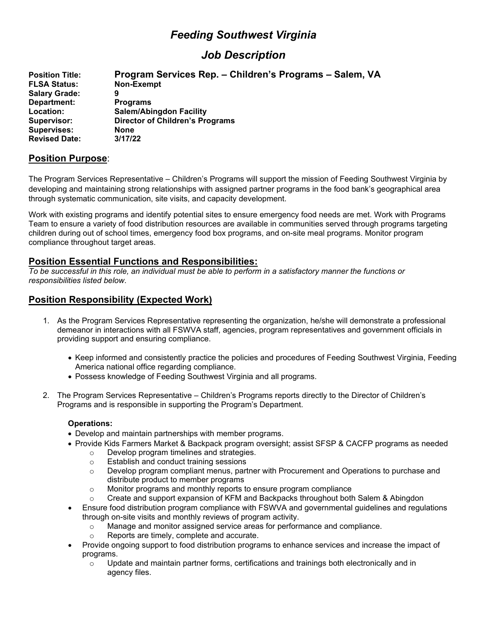# *Feeding Southwest Virginia*

# *Job Description*

| <b>Position Title:</b> | Program Services Rep. - Children's Programs - Salem, VA |  |  |
|------------------------|---------------------------------------------------------|--|--|
| <b>FLSA Status:</b>    | Non-Exempt                                              |  |  |
| <b>Salary Grade:</b>   | 9                                                       |  |  |
| Department:            | <b>Programs</b>                                         |  |  |
| Location:              | <b>Salem/Abingdon Facility</b>                          |  |  |
| Supervisor:            | <b>Director of Children's Programs</b>                  |  |  |
| <b>Supervises:</b>     | <b>None</b>                                             |  |  |
| <b>Revised Date:</b>   | 3/17/22                                                 |  |  |

## **Position Purpose**:

The Program Services Representative – Children's Programs will support the mission of Feeding Southwest Virginia by developing and maintaining strong relationships with assigned partner programs in the food bank's geographical area through systematic communication, site visits, and capacity development.

Work with existing programs and identify potential sites to ensure emergency food needs are met. Work with Programs Team to ensure a variety of food distribution resources are available in communities served through programs targeting children during out of school times, emergency food box programs, and on-site meal programs. Monitor program compliance throughout target areas.

## **Position Essential Functions and Responsibilities:**

*To be successful in this role, an individual must be able to perform in a satisfactory manner the functions or responsibilities listed below.*

# **Position Responsibility (Expected Work)**

- 1. As the Program Services Representative representing the organization, he/she will demonstrate a professional demeanor in interactions with all FSWVA staff, agencies, program representatives and government officials in providing support and ensuring compliance.
	- Keep informed and consistently practice the policies and procedures of Feeding Southwest Virginia, Feeding America national office regarding compliance.
	- Possess knowledge of Feeding Southwest Virginia and all programs.
- 2. The Program Services Representative Children's Programs reports directly to the Director of Children's Programs and is responsible in supporting the Program's Department.

#### **Operations:**

- Develop and maintain partnerships with member programs.
- Provide Kids Farmers Market & Backpack program oversight; assist SFSP & CACFP programs as needed
	- $\circ$  Develop program timelines and strategies.<br>  $\circ$  Establish and conduct training sessions
	- $\circ$  Establish and conduct training sessions<br> $\circ$  Develop program compliant menus, part
	- Develop program compliant menus, partner with Procurement and Operations to purchase and distribute product to member programs
	- o Monitor programs and monthly reports to ensure program compliance
	- Create and support expansion of KFM and Backpacks throughout both Salem & Abingdon
- Ensure food distribution program compliance with FSWVA and governmental guidelines and regulations through on-site visits and monthly reviews of program activity.
	- Manage and monitor assigned service areas for performance and compliance.
	- Reports are timely, complete and accurate.
- Provide ongoing support to food distribution programs to enhance services and increase the impact of programs.
	- $\circ$  Update and maintain partner forms, certifications and trainings both electronically and in agency files.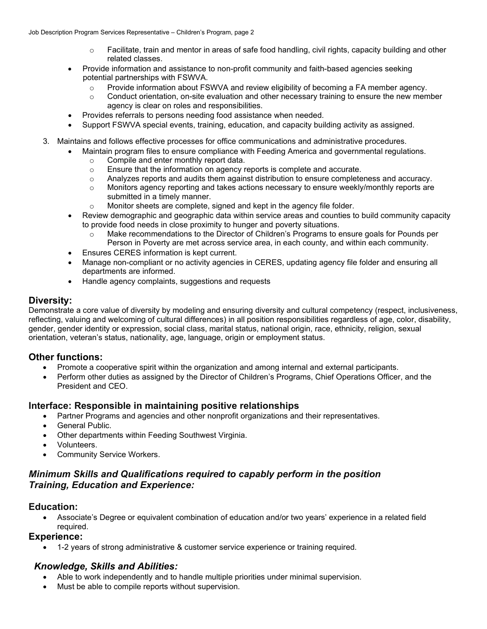- $\circ$  Facilitate, train and mentor in areas of safe food handling, civil rights, capacity building and other related classes.
- Provide information and assistance to non-profit community and faith-based agencies seeking potential partnerships with FSWVA.
	- o Provide information about FSWVA and review eligibility of becoming a FA member agency.
	- $\circ$  Conduct orientation, on-site evaluation and other necessary training to ensure the new member agency is clear on roles and responsibilities.
- Provides referrals to persons needing food assistance when needed.
- Support FSWVA special events, training, education, and capacity building activity as assigned.
- 3. Maintains and follows effective processes for office communications and administrative procedures.
	- Maintain program files to ensure compliance with Feeding America and governmental regulations.
		- $\circ$  Compile and enter monthly report data.<br> $\circ$  Ensure that the information on agency r
		- $\circ$  Ensure that the information on agency reports is complete and accurate.<br>Analyzes reports and audits them against distribution to ensure complete
		- Analyzes reports and audits them against distribution to ensure completeness and accuracy.
		- o Monitors agency reporting and takes actions necessary to ensure weekly/monthly reports are submitted in a timely manner.
		- o Monitor sheets are complete, signed and kept in the agency file folder.
	- Review demographic and geographic data within service areas and counties to build community capacity to provide food needs in close proximity to hunger and poverty situations.
		- o Make recommendations to the Director of Children's Programs to ensure goals for Pounds per Person in Poverty are met across service area, in each county, and within each community.
	- Ensures CERES information is kept current.
	- Manage non-compliant or no activity agencies in CERES, updating agency file folder and ensuring all departments are informed.
	- Handle agency complaints, suggestions and requests

## **Diversity:**

Demonstrate a core value of diversity by modeling and ensuring diversity and cultural competency (respect, inclusiveness, reflecting, valuing and welcoming of cultural differences) in all position responsibilities regardless of age, color, disability, gender, gender identity or expression, social class, marital status, national origin, race, ethnicity, religion, sexual orientation, veteran's status, nationality, age, language, origin or employment status.

# **Other functions:**

- Promote a cooperative spirit within the organization and among internal and external participants.
- Perform other duties as assigned by the Director of Children's Programs, Chief Operations Officer, and the President and CEO.

## **Interface: Responsible in maintaining positive relationships**

- Partner Programs and agencies and other nonprofit organizations and their representatives.
- General Public.
- Other departments within Feeding Southwest Virginia.
- Volunteers.
- Community Service Workers.

# *Minimum Skills and Qualifications required to capably perform in the position Training, Education and Experience:*

## **Education:**

• Associate's Degree or equivalent combination of education and/or two years' experience in a related field required.

## **Experience:**

• 1-2 years of strong administrative & customer service experience or training required.

## *Knowledge, Skills and Abilities:*

- Able to work independently and to handle multiple priorities under minimal supervision.
- Must be able to compile reports without supervision.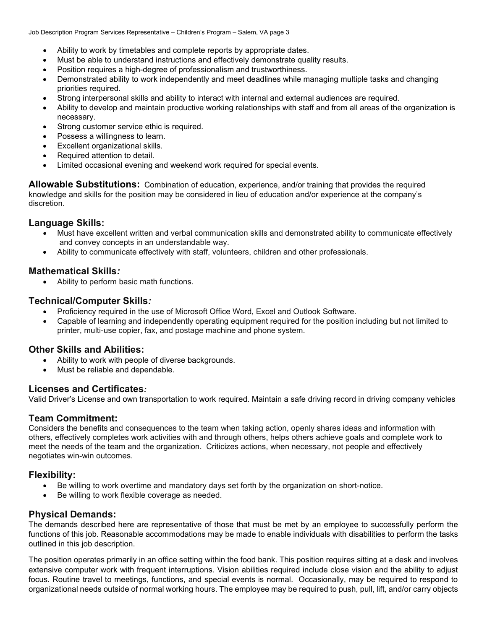Job Description Program Services Representative – Children's Program – Salem, VA page 3

- Ability to work by timetables and complete reports by appropriate dates.
- Must be able to understand instructions and effectively demonstrate quality results.
- Position requires a high-degree of professionalism and trustworthiness.
- Demonstrated ability to work independently and meet deadlines while managing multiple tasks and changing priorities required.
- Strong interpersonal skills and ability to interact with internal and external audiences are required.
- Ability to develop and maintain productive working relationships with staff and from all areas of the organization is necessary.
- Strong customer service ethic is required.
- Possess a willingness to learn.
- Excellent organizational skills.
- Required attention to detail.
- Limited occasional evening and weekend work required for special events.

**Allowable Substitutions:** Combination of education, experience, and/or training that provides the required knowledge and skills for the position may be considered in lieu of education and/or experience at the company's discretion.

#### **Language Skills:**

- Must have excellent written and verbal communication skills and demonstrated ability to communicate effectively and convey concepts in an understandable way.
- Ability to communicate effectively with staff, volunteers, children and other professionals.

#### **Mathematical Skills***:*

• Ability to perform basic math functions.

#### **Technical/Computer Skills***:*

- Proficiency required in the use of Microsoft Office Word, Excel and Outlook Software.
- Capable of learning and independently operating equipment required for the position including but not limited to printer, multi-use copier, fax, and postage machine and phone system.

## **Other Skills and Abilities:**

- Ability to work with people of diverse backgrounds.
- Must be reliable and dependable.

## **Licenses and Certificates***:*

Valid Driver's License and own transportation to work required. Maintain a safe driving record in driving company vehicles

#### **Team Commitment:**

Considers the benefits and consequences to the team when taking action, openly shares ideas and information with others, effectively completes work activities with and through others, helps others achieve goals and complete work to meet the needs of the team and the organization. Criticizes actions, when necessary, not people and effectively negotiates win-win outcomes.

## **Flexibility:**

- Be willing to work overtime and mandatory days set forth by the organization on short-notice.
- Be willing to work flexible coverage as needed.

#### **Physical Demands:**

The demands described here are representative of those that must be met by an employee to successfully perform the functions of this job. Reasonable accommodations may be made to enable individuals with disabilities to perform the tasks outlined in this job description.

The position operates primarily in an office setting within the food bank. This position requires sitting at a desk and involves extensive computer work with frequent interruptions. Vision abilities required include close vision and the ability to adjust focus. Routine travel to meetings, functions, and special events is normal. Occasionally, may be required to respond to organizational needs outside of normal working hours. The employee may be required to push, pull, lift, and/or carry objects